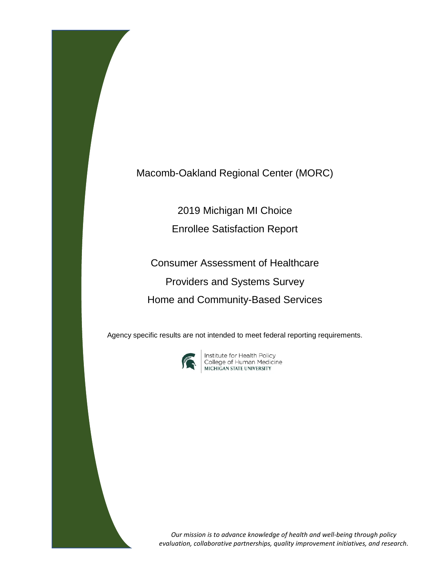Macomb-Oakland Regional Center (MORC)

2019 Michigan MI Choice

Enrollee Satisfaction Report

Consumer Assessment of Healthcare Providers and Systems Survey Home and Community-Based Services

Agency specific results are not intended to meet federal reporting requirements.



Institute for Health Policy<br>College of Human Medicine<br>міснісал ятатє иліvевзіту

*Our mission is to advance knowledge of health and well-being through policy evaluation, collaborative partnerships, quality improvement initiatives, and research.*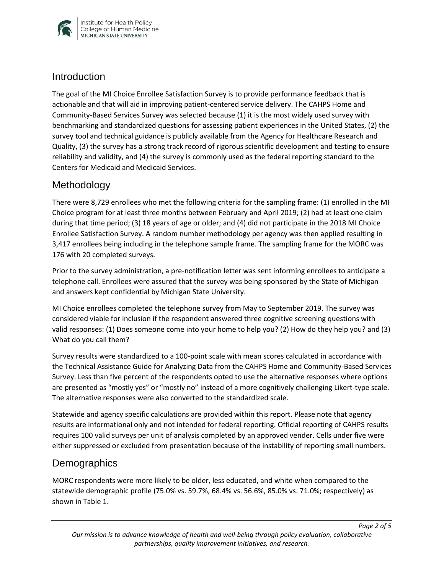

#### **Introduction**

The goal of the MI Choice Enrollee Satisfaction Survey is to provide performance feedback that is actionable and that will aid in improving patient-centered service delivery. The CAHPS Home and Community-Based Services Survey was selected because (1) it is the most widely used survey with benchmarking and standardized questions for assessing patient experiences in the United States, (2) the survey tool and technical guidance is publicly available from the Agency for Healthcare Research and Quality, (3) the survey has a strong track record of rigorous scientific development and testing to ensure reliability and validity, and (4) the survey is commonly used as the federal reporting standard to the Centers for Medicaid and Medicaid Services.

## Methodology

There were 8,729 enrollees who met the following criteria for the sampling frame: (1) enrolled in the MI Choice program for at least three months between February and April 2019; (2) had at least one claim during that time period; (3) 18 years of age or older; and (4) did not participate in the 2018 MI Choice Enrollee Satisfaction Survey. A random number methodology per agency was then applied resulting in 3,417 enrollees being including in the telephone sample frame. The sampling frame for the MORC was 176 with 20 completed surveys.

Prior to the survey administration, a pre-notification letter was sent informing enrollees to anticipate a telephone call. Enrollees were assured that the survey was being sponsored by the State of Michigan and answers kept confidential by Michigan State University.

MI Choice enrollees completed the telephone survey from May to September 2019. The survey was considered viable for inclusion if the respondent answered three cognitive screening questions with valid responses: (1) Does someone come into your home to help you? (2) How do they help you? and (3) What do you call them?

Survey results were standardized to a 100-point scale with mean scores calculated in accordance with the Technical Assistance Guide for Analyzing Data from the CAHPS Home and Community-Based Services Survey. Less than five percent of the respondents opted to use the alternative responses where options are presented as "mostly yes" or "mostly no" instead of a more cognitively challenging Likert-type scale. The alternative responses were also converted to the standardized scale.

Statewide and agency specific calculations are provided within this report. Please note that agency results are informational only and not intended for federal reporting. Official reporting of CAHPS results requires 100 valid surveys per unit of analysis completed by an approved vender. Cells under five were either suppressed or excluded from presentation because of the instability of reporting small numbers.

## **Demographics**

MORC respondents were more likely to be older, less educated, and white when compared to the statewide demographic profile (75.0% vs. 59.7%, 68.4% vs. 56.6%, 85.0% vs. 71.0%; respectively) as shown in Table 1.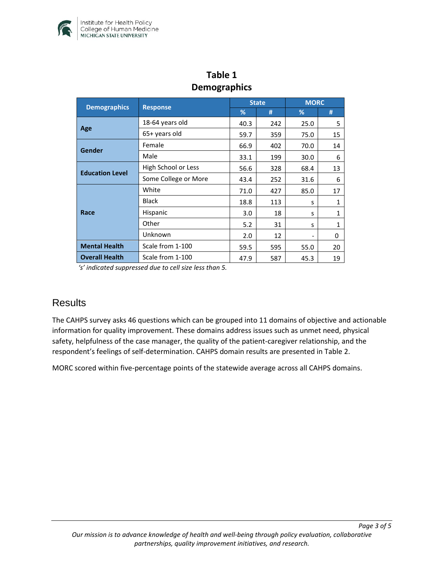

| Delliographics         |                      |              |     |             |              |  |  |  |
|------------------------|----------------------|--------------|-----|-------------|--------------|--|--|--|
|                        | <b>Response</b>      | <b>State</b> |     | <b>MORC</b> |              |  |  |  |
| <b>Demographics</b>    |                      | %            | #   | %           | #            |  |  |  |
| Age                    | 18-64 years old      | 40.3         | 242 | 25.0        | 5            |  |  |  |
|                        | 65+ years old        | 59.7         | 359 | 75.0        | 15           |  |  |  |
| Gender                 | Female               | 66.9         | 402 | 70.0        | 14           |  |  |  |
|                        | Male                 | 33.1         | 199 | 30.0        | 6            |  |  |  |
| <b>Education Level</b> | High School or Less  | 56.6         | 328 | 68.4        | 13           |  |  |  |
|                        | Some College or More | 43.4         | 252 | 31.6        | 6            |  |  |  |
| Race                   | White                | 71.0         | 427 | 85.0        | 17           |  |  |  |
|                        | <b>Black</b>         | 18.8         | 113 | S           | $\mathbf{1}$ |  |  |  |
|                        | Hispanic             | 3.0          | 18  | S           | 1            |  |  |  |
|                        | Other                | 5.2          | 31  | S           | 1            |  |  |  |
|                        | Unknown              | 2.0          | 12  |             | 0            |  |  |  |
| <b>Mental Health</b>   | Scale from 1-100     | 59.5         | 595 | 55.0        | 20           |  |  |  |
| <b>Overall Health</b>  | Scale from 1-100     | 47.9         | 587 | 45.3        | 19           |  |  |  |

# **Table 1 Demographics**

*'s' indicated suppressed due to cell size less than 5.* 

#### **Results**

The CAHPS survey asks 46 questions which can be grouped into 11 domains of objective and actionable information for quality improvement. These domains address issues such as unmet need, physical safety, helpfulness of the case manager, the quality of the patient-caregiver relationship, and the respondent's feelings of self-determination. CAHPS domain results are presented in Table 2.

MORC scored within five-percentage points of the statewide average across all CAHPS domains.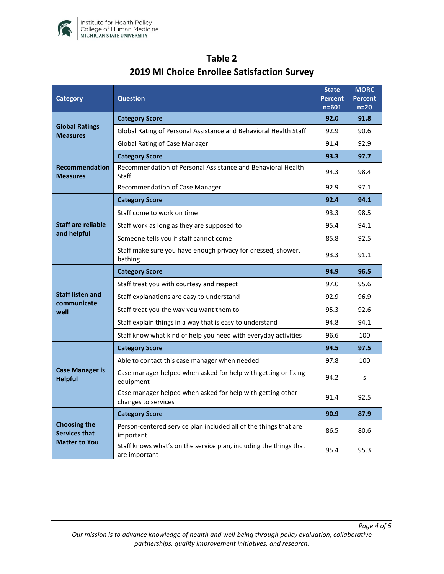

| <b>Category</b>                                                     | <b>Question</b>                                                                    |      | <b>MORC</b><br><b>Percent</b><br>$n=20$ |
|---------------------------------------------------------------------|------------------------------------------------------------------------------------|------|-----------------------------------------|
| <b>Global Ratings</b><br><b>Measures</b>                            | <b>Category Score</b>                                                              | 92.0 | 91.8                                    |
|                                                                     | Global Rating of Personal Assistance and Behavioral Health Staff                   | 92.9 | 90.6                                    |
|                                                                     | <b>Global Rating of Case Manager</b>                                               | 91.4 | 92.9                                    |
| <b>Recommendation</b><br><b>Measures</b>                            | <b>Category Score</b>                                                              | 93.3 | 97.7                                    |
|                                                                     | Recommendation of Personal Assistance and Behavioral Health<br>Staff               | 94.3 | 98.4                                    |
|                                                                     | Recommendation of Case Manager                                                     | 92.9 | 97.1                                    |
| <b>Staff are reliable</b><br>and helpful                            | <b>Category Score</b>                                                              | 92.4 | 94.1                                    |
|                                                                     | Staff come to work on time                                                         | 93.3 | 98.5                                    |
|                                                                     | Staff work as long as they are supposed to                                         | 95.4 | 94.1                                    |
|                                                                     | Someone tells you if staff cannot come                                             | 85.8 | 92.5                                    |
|                                                                     | Staff make sure you have enough privacy for dressed, shower,<br>bathing            | 93.3 | 91.1                                    |
| <b>Staff listen and</b><br>communicate<br>well                      | <b>Category Score</b>                                                              | 94.9 | 96.5                                    |
|                                                                     | Staff treat you with courtesy and respect                                          | 97.0 | 95.6                                    |
|                                                                     | Staff explanations are easy to understand                                          | 92.9 | 96.9                                    |
|                                                                     | Staff treat you the way you want them to                                           | 95.3 | 92.6                                    |
|                                                                     | Staff explain things in a way that is easy to understand                           | 94.8 | 94.1                                    |
|                                                                     | Staff know what kind of help you need with everyday activities                     | 96.6 | 100                                     |
| <b>Case Manager is</b><br><b>Helpful</b>                            | <b>Category Score</b>                                                              | 94.5 | 97.5                                    |
|                                                                     | Able to contact this case manager when needed                                      | 97.8 | 100                                     |
|                                                                     | Case manager helped when asked for help with getting or fixing<br>equipment        | 94.2 | s                                       |
|                                                                     | Case manager helped when asked for help with getting other<br>changes to services  | 91.4 | 92.5                                    |
| <b>Choosing the</b><br><b>Services that</b><br><b>Matter to You</b> | <b>Category Score</b>                                                              | 90.9 | 87.9                                    |
|                                                                     | Person-centered service plan included all of the things that are<br>important      | 86.5 | 80.6                                    |
|                                                                     | Staff knows what's on the service plan, including the things that<br>are important | 95.4 | 95.3                                    |

# **Table 2 2019 MI Choice Enrollee Satisfaction Survey**